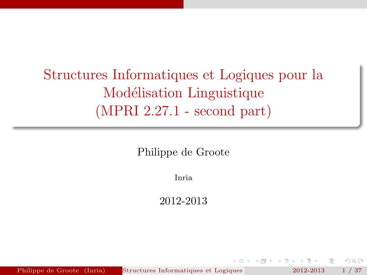Structures Informatiques et Logiques pour la Modélisation Linguistique (MPRI 2.27.1 - second part)

Philippe de Groote

Inria

2012-2013

<span id="page-0-0"></span> $\Omega$ 

Philippe de Groote (Inria) Structures Informatiques et Logiques 2012-2013 1 / 37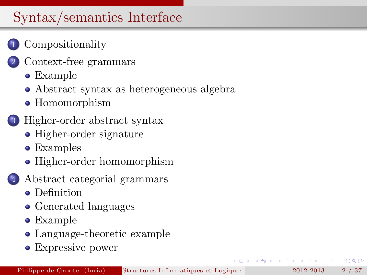# Syntax/semantics Interface

## **[Compositionality](#page-2-0)**

- [Context-free grammars](#page-4-0)
	- [Example](#page-4-0)
	- [Abstract syntax as heterogeneous algebra](#page-6-0)
	- [Homomorphism](#page-8-0)

### 3 [Higher-order abstract syntax](#page-11-0)

- [Higher-order signature](#page-11-0)
- [Examples](#page-13-0)
- [Higher-order homomorphism](#page-18-0)
- 4 [Abstract categorial grammars](#page-20-0)
	- **•** [Definition](#page-20-0)
	- [Generated languages](#page-23-0)
	- [Example](#page-25-0)
	- [Language-theoretic example](#page-29-0)
	- [Expressive power](#page-33-0)

 $\Omega$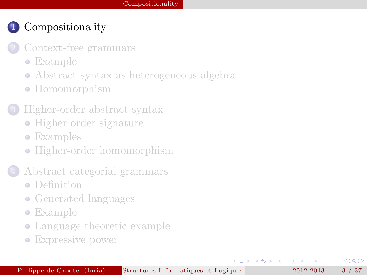- [Context-free grammars](#page-4-0)
	- [Example](#page-4-0)
	- [Abstract syntax as heterogeneous algebra](#page-6-0)
	- [Homomorphism](#page-8-0)
- 3 [Higher-order abstract syntax](#page-11-0)
	- [Higher-order signature](#page-11-0)
	- [Examples](#page-13-0)
	- [Higher-order homomorphism](#page-18-0)
- 4 [Abstract categorial grammars](#page-20-0)
	- **•** [Definition](#page-20-0)
	- [Generated languages](#page-23-0)
	- [Example](#page-25-0)
	- [Language-theoretic example](#page-29-0)
	- [Expressive power](#page-33-0)

4.000

<span id="page-2-0"></span> $\Omega$ 

 $A \equiv 0$  and  $B$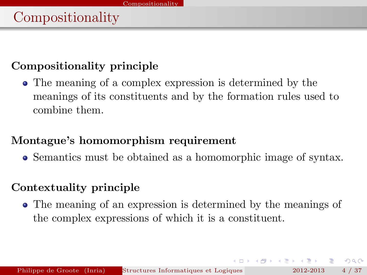#### Compositionality principle

The meaning of a complex expression is determined by the meanings of its constituents and by the formation rules used to combine them.

#### Montague's homomorphism requirement

Semantics must be obtained as a homomorphic image of syntax.

#### Contextuality principle

The meaning of an expression is determined by the meanings of the complex expressions of which it is a constituent.

 $QQQ$ 

 $\overline{AB}$   $\rightarrow$   $\overline{AB}$   $\rightarrow$   $\overline{AB}$   $\rightarrow$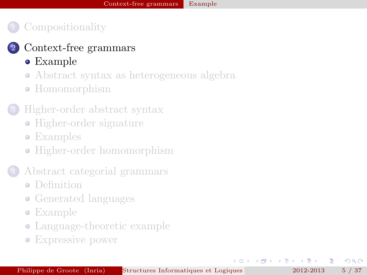#### [Context-free grammars](#page-4-0)

- [Example](#page-4-0)
- [Abstract syntax as heterogeneous algebra](#page-6-0)
- [Homomorphism](#page-8-0)

#### 3 [Higher-order abstract syntax](#page-11-0)

- [Higher-order signature](#page-11-0)
- [Examples](#page-13-0)
- [Higher-order homomorphism](#page-18-0)
- 4 [Abstract categorial grammars](#page-20-0)
	- **•** [Definition](#page-20-0)
	- [Generated languages](#page-23-0)
	- [Example](#page-25-0)
	- [Language-theoretic example](#page-29-0)
	- [Expressive power](#page-33-0)

4.000

<span id="page-4-0"></span> $\Omega$ 

 $A \equiv 0$  and  $B$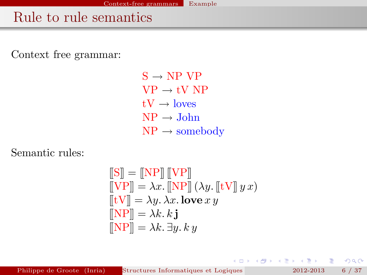## Rule to rule semantics

Context free grammar:

 $S \rightarrow NP VP$  $VP \rightarrow tV NP$  $tV \rightarrow$  loves  $NP \rightarrow John$  $NP \rightarrow$  somebody

Semantic rules:

$$
\begin{aligned}\n\llbracket \mathbf{S} \rrbracket &= \llbracket \mathbf{NP} \rrbracket \llbracket \mathbf{VP} \rrbracket \\
\llbracket \mathbf{VP} \rrbracket &= \lambda x. \llbracket \mathbf{NP} \rrbracket \, (\lambda y. \llbracket \mathbf{tV} \rrbracket \, y \, x) \\
\llbracket \mathbf{tV} \rrbracket &= \lambda y. \, \lambda x. \, \textbf{love} \, x \, y \\
\llbracket \mathbf{NP} \rrbracket &= \lambda k. \, \mathbf{k} \, \mathbf{j} \\
\llbracket \mathbf{NP} \rrbracket &= \lambda k. \, \exists y. \, k \, y\n\end{aligned}
$$

 $2Q$ 

- 4 重 8 14 重 8

( □ ) ( / <sup>□</sup> )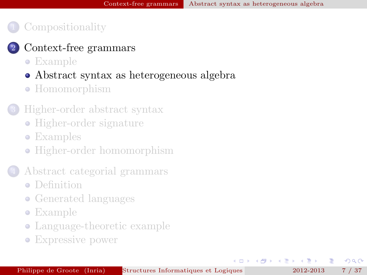#### [Context-free grammars](#page-4-0)

- [Example](#page-4-0)
- [Abstract syntax as heterogeneous algebra](#page-6-0)
- [Homomorphism](#page-8-0)

#### 3 [Higher-order abstract syntax](#page-11-0)

- [Higher-order signature](#page-11-0)
- [Examples](#page-13-0)
- [Higher-order homomorphism](#page-18-0)
- 4 [Abstract categorial grammars](#page-20-0)
	- **•** [Definition](#page-20-0)
	- [Generated languages](#page-23-0)
	- [Example](#page-25-0)
	- [Language-theoretic example](#page-29-0)
	- [Expressive power](#page-33-0)

4.000

<span id="page-6-0"></span> $\Omega$ 

 $\left\{ \begin{array}{ccc} 1 & 1 & 1 \\ 1 & 1 & 1 \end{array} \right.$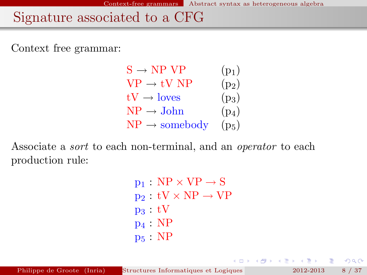## Signature associated to a CFG

Context free grammar:

| $S \rightarrow NP VP$     | $(p_1)$ |
|---------------------------|---------|
| $VP \rightarrow tV NP$    | $(p_2)$ |
| $tV \rightarrow$ loves    | $(p_3)$ |
| $NP \rightarrow John$     | $(p_4)$ |
| $NP \rightarrow$ somebody | $(p_5)$ |

Associate a *sort* to each non-terminal, and an *operator* to each production rule:

> $p_1 : NP \times VP \rightarrow S$  $p_2 : tV \times NP \rightarrow VP$  $p_3 : tV$  $p_4 : NP$  $p_5 : NP$

K ロ ▶ K 御 ▶ K ヨ ▶ K ヨ ▶

 $OQ$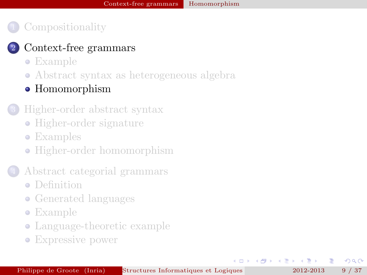#### [Context-free grammars](#page-4-0)

- [Example](#page-4-0)
- [Abstract syntax as heterogeneous algebra](#page-6-0)

#### • [Homomorphism](#page-8-0)

#### 3 [Higher-order abstract syntax](#page-11-0)

- [Higher-order signature](#page-11-0)
- [Examples](#page-13-0)
- [Higher-order homomorphism](#page-18-0)
- 4 [Abstract categorial grammars](#page-20-0)
	- **•** [Definition](#page-20-0)
	- [Generated languages](#page-23-0)
	- [Example](#page-25-0)
	- [Language-theoretic example](#page-29-0)
	- [Expressive power](#page-33-0)

4.000

<span id="page-8-0"></span> $\Omega$ 

 $A \equiv 0$  and  $B$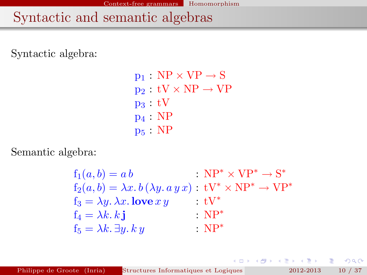# Syntactic and semantic algebras

Syntactic algebra:

 $p_1 : NP \times VP \rightarrow S$  $p_2 : tV \times NP \rightarrow VP$  $p_3 : tV$ p<sup>4</sup> : NP p<sup>5</sup> : NP

Semantic algebra:

$$
f_1(a, b) = a b : NP^* \times VP^* \rightarrow S^*
$$
  
\n
$$
f_2(a, b) = \lambda x. b (\lambda y. a y x) : TV^* \times NP^* \rightarrow VP^*
$$
  
\n
$$
f_3 = \lambda y. \lambda x. \text{love } xy : TV^*
$$
  
\n
$$
f_4 = \lambda k. k \textbf{j} : NP^*
$$
  
\n
$$
f_5 = \lambda k. \exists y. k y : NP^*
$$

重。

 $2Q$ 

 $\mathcal{A} \xrightarrow{\sim} \mathcal{B} \rightarrow \mathcal{A} \xrightarrow{\sim} \mathcal{B} \rightarrow$ 

 $\leftarrow$   $\Box$ 

 $\rightarrow$   $\Box$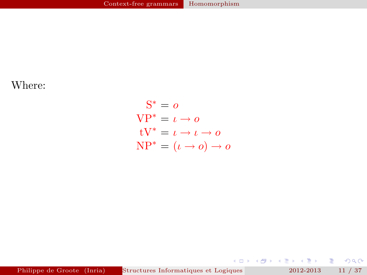Where:

$$
S^* = o
$$
  
VP\* =  $\iota \to o$   
 $tV^* = \iota \to \iota \to o$   
NP\* =  $(\iota \to o) \to o$ 

Philippe de Groote (Inria) Structures Informatiques et Logiques pour la Modielisation Linguisticus (MPRI 2012-2013 11 / 37.1 - second particular particular et Logique (MPRI 2012-2013 11 / 37.1 - second particular et Logiqu

重。  $2990$ 

メロト メ都 トメ 老 トメ 差 ト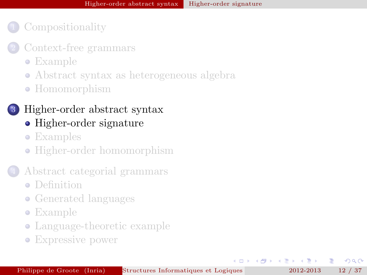- [Context-free grammars](#page-4-0)
	- [Example](#page-4-0)
	- [Abstract syntax as heterogeneous algebra](#page-6-0)
	- [Homomorphism](#page-8-0)

#### 3 [Higher-order abstract syntax](#page-11-0)

- [Higher-order signature](#page-11-0)
- [Examples](#page-13-0)
- [Higher-order homomorphism](#page-18-0)

#### 4 [Abstract categorial grammars](#page-20-0)

- **•** [Definition](#page-20-0)
- [Generated languages](#page-23-0)
- [Example](#page-25-0)
- [Language-theoretic example](#page-29-0)
- [Expressive power](#page-33-0)

 $\leftarrow$   $\Box$ 

舌

4 三 下

<span id="page-11-0"></span> $\Omega$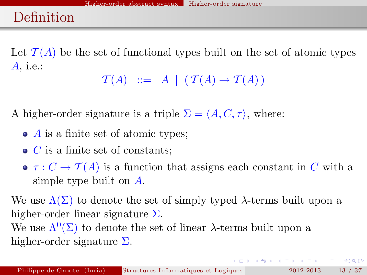# Definition

Let  $\mathcal{T}(A)$  be the set of functional types built on the set of atomic types A, i.e.:

 $\mathcal{T}(A)$  ::= A |  $(\mathcal{T}(A) \rightarrow \mathcal{T}(A))$ 

A higher-order signature is a triple  $\Sigma = \langle A, C, \tau \rangle$ , where:

- $\bullet$  A is a finite set of atomic types;
- $\bullet$  *C* is a finite set of constants;
- $\bullet \tau : C \to \mathcal{T}(A)$  is a function that assigns each constant in C with a simple type built on A.

We use  $\Lambda(\Sigma)$  to denote the set of simply typed  $\lambda$ -terms built upon a higher-order linear signature  $\Sigma$ .

We use  $\Lambda^{0}(\Sigma)$  to denote the set of linear  $\lambda$ -terms built upon a higher-order signature  $\Sigma$ .

K ロ > K 레 > K 코 > K 코 > H 코 → YO Q Q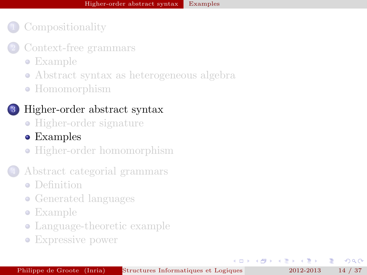- [Context-free grammars](#page-4-0)
	- [Example](#page-4-0)
	- [Abstract syntax as heterogeneous algebra](#page-6-0)
	- [Homomorphism](#page-8-0)



#### 3 [Higher-order abstract syntax](#page-11-0)

- [Higher-order signature](#page-11-0)
- [Examples](#page-13-0)
- [Higher-order homomorphism](#page-18-0)
- 4 [Abstract categorial grammars](#page-20-0)
	- **•** [Definition](#page-20-0)
	- [Generated languages](#page-23-0)
	- [Example](#page-25-0)
	- [Language-theoretic example](#page-29-0)
	- [Expressive power](#page-33-0)

4.000

 $\leftarrow$   $\equiv$   $\rightarrow$ 

<span id="page-13-0"></span> $\Omega$ 

舌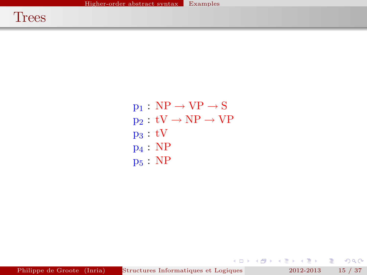$p_1 : NP \rightarrow VP \rightarrow S$  $p_2 : tV \to NP \to VP$  $p_3 : tV$ p<sup>4</sup> : NP  $p_5 : NP$ 

 $E = 0$ 

メロト メタト メモト メモト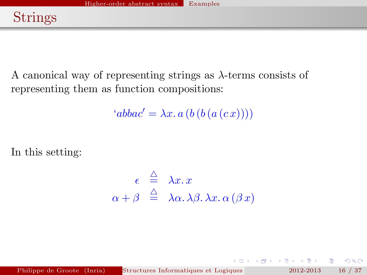A canonical way of representing strings as  $\lambda$ -terms consists of representing them as function compositions:

 $'abbac' = \lambda x. a (b (b (a (c x))))$ 

In this setting:

$$
\epsilon \stackrel{\triangle}{=} \lambda x. x
$$
  

$$
\alpha + \beta \stackrel{\triangle}{=} \lambda \alpha. \lambda \beta. \lambda x. \alpha (\beta x)
$$

 $QQ$ 

化重氮 化重氮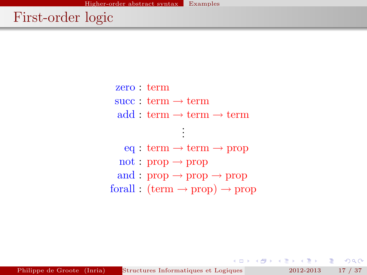zero : term  $succ : term \rightarrow term$  $add:$  term  $\rightarrow$  term  $\rightarrow$  term . . .  $eq: term \rightarrow term \rightarrow prop$  $not : prop \rightarrow prop$ and :  $prop \rightarrow prop \rightarrow prop$ forall :  $(\text{term} \rightarrow \text{prop}) \rightarrow \text{prop}$ 

 $E \Omega$ 

人名意阿尔 电电子

 $\leftarrow$   $\Box$ 

 $\rightarrow$   $\Box$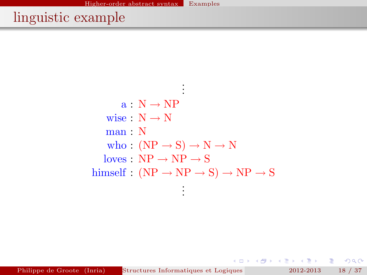# linguistic example

. . .  $a : N \rightarrow NP$ wise  $: N \rightarrow N$  $man \cdot N$ who :  $(NP \rightarrow S) \rightarrow N \rightarrow N$  $loves : NP \rightarrow NP \rightarrow S$ himself :  $(NP \rightarrow NP \rightarrow S) \rightarrow NP \rightarrow S$ . . .

Philippe de Groote (Inria) Structures Informatiques et Logiques pour la Modielisation Linguisticus (MPRI 2012-2013 18 / 37.1 - second particular particular et Logique (MPRI 2012-2013 18 / 37.1 - second particular et Logiqu

K ロ ▶ K 御 ▶ K ヨ ▶ K ヨ ▶

 $E = \Omega Q$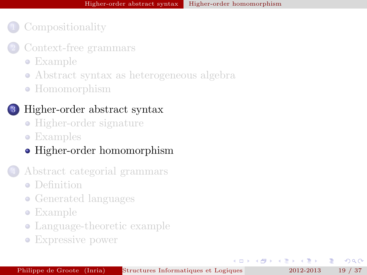- [Context-free grammars](#page-4-0)
	- [Example](#page-4-0)
	- [Abstract syntax as heterogeneous algebra](#page-6-0)
	- [Homomorphism](#page-8-0)

#### 3 [Higher-order abstract syntax](#page-11-0)

- [Higher-order signature](#page-11-0)
- [Examples](#page-13-0)

### • [Higher-order homomorphism](#page-18-0)

- 4 [Abstract categorial grammars](#page-20-0)
	- **•** [Definition](#page-20-0)
	- [Generated languages](#page-23-0)
	- [Example](#page-25-0)
	- [Language-theoretic example](#page-29-0)
	- [Expressive power](#page-33-0)

 $\leftarrow$   $\Box$ 

<span id="page-18-0"></span> $\Omega$ 

舌

不重 的人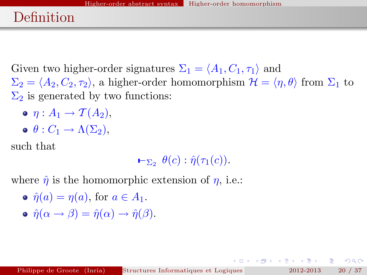# Definition

Given two higher-order signatures  $\Sigma_1 = \langle A_1, C_1, \tau_1 \rangle$  and  $\Sigma_2 = \langle A_2, C_2, \tau_2 \rangle$ , a higher-order homomorphism  $\mathcal{H} = \langle \eta, \theta \rangle$  from  $\Sigma_1$  to  $\Sigma_2$  is generated by two functions:

- $\bullet$   $n: A_1 \rightarrow \mathcal{T}(A_2)$ ,
- $\bullet$   $\theta$  :  $C_1 \rightarrow \Lambda(\Sigma_2)$ ,

such that

 $\vdash_{\Sigma_2} \theta(c) : \hat{\eta}(\tau_1(c)).$ 

where  $\hat{\eta}$  is the homomorphic extension of  $\eta$ , i.e.:

- $\hat{\eta}(a) = \eta(a)$ , for  $a \in A_1$ .
- $\hat{\eta}(\alpha \rightarrow \beta) = \hat{\eta}(\alpha) \rightarrow \hat{\eta}(\beta).$

 $\equiv$  990

**K ロ ▶ 〈 御 ▶ 〈 ヨ ▶ 〈 ヨ ▶**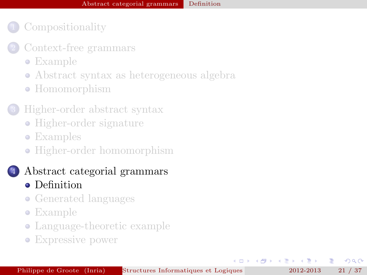- **[Compositionality](#page-2-0)**
- [Context-free grammars](#page-4-0)
	- [Example](#page-4-0)
	- [Abstract syntax as heterogeneous algebra](#page-6-0)
	- [Homomorphism](#page-8-0)
- 3 [Higher-order abstract syntax](#page-11-0)
	- [Higher-order signature](#page-11-0)
	- [Examples](#page-13-0)
	- [Higher-order homomorphism](#page-18-0)
	- 4 [Abstract categorial grammars](#page-20-0) • [Definition](#page-20-0)
		- [Generated languages](#page-23-0)
		- [Example](#page-25-0)
		- [Language-theoretic example](#page-29-0)
		- [Expressive power](#page-33-0)

 $\leftarrow$   $\Box$ 

舌

不重 的人  $\rightarrow$   $\equiv$  <span id="page-20-0"></span> $\Omega$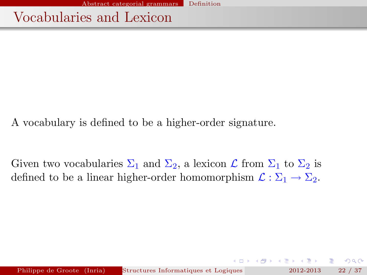Vocabularies and Lexicon

A vocabulary is defined to be a higher-order signature.

Given two vocabularies  $\Sigma_1$  and  $\Sigma_2$ , a lexicon  $\mathcal L$  from  $\Sigma_1$  to  $\Sigma_2$  is defined to be a linear higher-order homomorphism  $\mathcal{L} : \Sigma_1 \to \Sigma_2$ .

Philippe de Groote (Inria) Structures Informatiques et Logiques pour la Modielisation 22 / 37

 $QQ$ 

**A BAKA BA**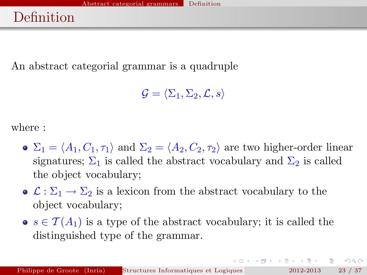# Definition

An abstract categorial grammar is a quadruple

 $\mathcal{G} = \langle \Sigma_1, \Sigma_2, \mathcal{L}, s \rangle$ 

where :

- $\sum_1 = \langle A_1, C_1, \tau_1 \rangle$  and  $\Sigma_2 = \langle A_2, C_2, \tau_2 \rangle$  are two higher-order linear signatures;  $\Sigma_1$  is called the abstract vocabulary and  $\Sigma_2$  is called the object vocabulary;
- $\bullet \mathcal{L} : \Sigma_1 \to \Sigma_2$  is a lexicon from the abstract vocabulary to the object vocabulary;
- $s \in \mathcal{T}(A_1)$  is a type of the abstract vocabulary; it is called the distinguished type of the grammar.

KOD KOD KED KED E JOAN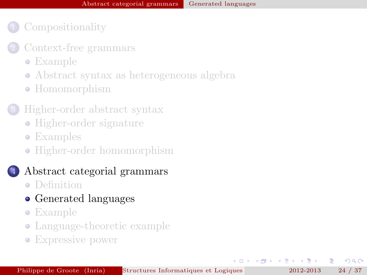- [Context-free grammars](#page-4-0)
	- [Example](#page-4-0)
	- [Abstract syntax as heterogeneous algebra](#page-6-0)
	- [Homomorphism](#page-8-0)
- 3 [Higher-order abstract syntax](#page-11-0)
	- [Higher-order signature](#page-11-0)
	- [Examples](#page-13-0)
	- [Higher-order homomorphism](#page-18-0)

#### 4 [Abstract categorial grammars](#page-20-0)

- **·** [Definition](#page-20-0)
- [Generated languages](#page-23-0)
- [Example](#page-25-0)
- [Language-theoretic example](#page-29-0)
- [Expressive power](#page-33-0)

 $\leftarrow$   $\Box$ 

舌

4 三 下

<span id="page-23-0"></span> $\Omega$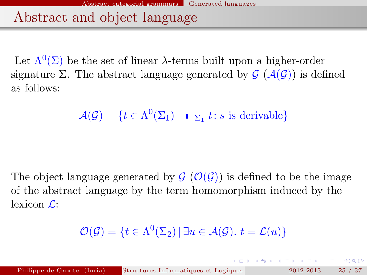Abstract and object language

Let  $\Lambda^{0}(\Sigma)$  be the set of linear  $\lambda$ -terms built upon a higher-order signature Σ. The abstract language generated by  $\mathcal{G}(\mathcal{A}(\mathcal{G}))$  is defined as follows:

 $\mathcal{A}(\mathcal{G}) = \{ t \in \Lambda^0(\Sigma_1) \mid \ \textbf{I}_{\Sigma_1} t : s \text{ is derivable} \}$ 

The object language generated by  $\mathcal{G}(\mathcal{O}(\mathcal{G}))$  is defined to be the image of the abstract language by the term homomorphism induced by the lexicon  $\mathcal{L}$ :

$$
\mathcal{O}(\mathcal{G}) = \{ t \in \Lambda^0(\Sigma_2) \, | \, \exists u \in \mathcal{A}(\mathcal{G}), \, t = \mathcal{L}(u) \}
$$

<span id="page-24-0"></span>◆ロト → 御 ▶ → ヨ ▶ → ヨ ▶ │ ヨ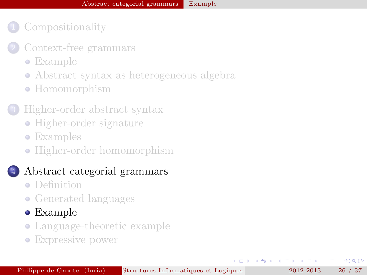- **[Compositionality](#page-2-0)**
- [Context-free grammars](#page-4-0)
	- [Example](#page-4-0)
	- [Abstract syntax as heterogeneous algebra](#page-6-0)
	- [Homomorphism](#page-8-0)
- 3 [Higher-order abstract syntax](#page-11-0)
	- [Higher-order signature](#page-11-0)
	- [Examples](#page-13-0)
	- [Higher-order homomorphism](#page-18-0)

#### 4 [Abstract categorial grammars](#page-20-0)

- **•** [Definition](#page-20-0)
- [Generated languages](#page-23-0)
- [Example](#page-25-0)
- [Language-theoretic example](#page-29-0)
- [Expressive power](#page-33-0)

 $\leftarrow$   $\Box$ 

4 三 下

<span id="page-25-0"></span> $\Omega$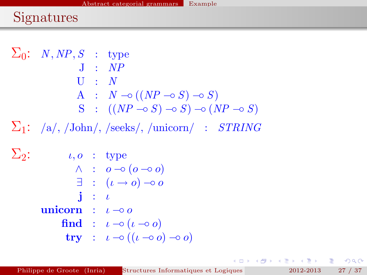# Signatures

 $\Sigma_0: N, NP, S$  : type  $J : NP$  $U : N$ A :  $N \multimap ((NP \multimap S) \multimap S)$  $S : ((NP \neg \circ S) \neg \circ S) \neg \circ (NP \neg \circ S)$  $\Sigma_1$ : /a/, /John/, /seeks/, /unicorn/ : STRING  $\Sigma_2$ :  $\iota, \omicron$  : type  $\wedge$  :  $o$   $\multimap$   $(o \multimap o)$  $\exists$  :  $(\iota \to o) \to o$  $\mathbf{i}$  :  $\mathbf{i}$ unicorn :  $\iota \neg \circ \alpha$ find :  $\iota \neg o(\iota \neg o o)$  $\mathbf{try}$  :  $\iota \neg o((\iota \neg o) \neg o)$ 

<span id="page-26-0"></span>K 何 ▶ K ヨ ▶ K ヨ ▶ │ ヨ │ ◆ 9 Q (^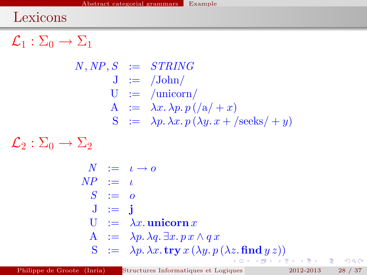## Lexicons

 $\mathcal{L}_1 : \Sigma_0 \to \Sigma_1$ 

$$
N, NP, S := STRING
$$
  
\n
$$
J := /John
$$
  
\n
$$
U := /unionn
$$
  
\n
$$
A := \lambda x.\lambda p. p. ((a/+x))
$$
  
\n
$$
S := \lambda p. \lambda x. p. (\lambda y. x + /seeks/+y)
$$

 $\mathcal{L}_2 : \Sigma_0 \to \Sigma_2$ 

<span id="page-27-0"></span>
$$
N := \iota \to o
$$
  
\n
$$
NP := \iota
$$
  
\n
$$
S := o
$$
  
\n
$$
J := \mathbf{j}
$$
  
\n
$$
U := \lambda x.\text{uniform } x
$$
  
\n
$$
A := \lambda p.\lambda q.\exists x. px \land qx
$$
  
\n
$$
S := \lambda p.\lambda x.\text{try } x (\lambda y. p (\lambda z.\text{find } y z))
$$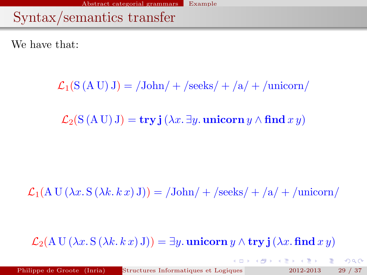Syntax/semantics transfer

We have that:

 $\mathcal{L}_1(S (A U) J) = / \text{John} / + / \text{seeks} / + / \text{a} / + / \text{uniform} /$ 

 $\mathcal{L}_2(S(A U) J) = \mathbf{try} \mathbf{i} (\lambda x. \exists y. \text{unicorn } y \wedge \mathbf{find } x y)$ 

 $\mathcal{L}_1(A \cup (\lambda x. S (\lambda k. k x) J)) = \frac{\text{John}}{\text{seeks}} + \frac{\text{ale}}{\text{ale}} + \frac{\text{unicorn}}{\text{ale}}$ 

 $\mathcal{L}_2(A \cup (\lambda x. S(\lambda k. k x) J)) = \exists y.$  unicorn  $y \wedge \text{try } j(\lambda x.$  find  $xy)$ 

<span id="page-28-0"></span>K □ X K @ X K 할 X K 할 X \_ 할 X YO Q @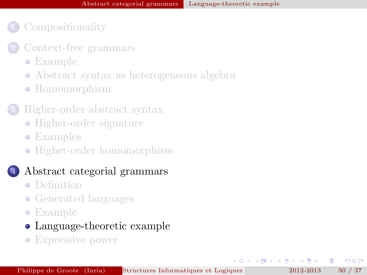- [Context-free grammars](#page-4-0)
	- [Example](#page-4-0)
	- [Abstract syntax as heterogeneous algebra](#page-6-0)
	- [Homomorphism](#page-8-0)

#### 3 [Higher-order abstract syntax](#page-11-0)

- [Higher-order signature](#page-11-0)
- [Examples](#page-13-0)
- [Higher-order homomorphism](#page-18-0)

#### 4 [Abstract categorial grammars](#page-20-0)

- **•** [Definition](#page-20-0)
- [Generated languages](#page-23-0)
- [Example](#page-25-0)

#### [Language-theoretic example](#page-29-0)

[Expressive power](#page-33-0)

 $\leftarrow$   $\Box$ 

4 原 8 1

<span id="page-29-0"></span> $\Omega$ 

舌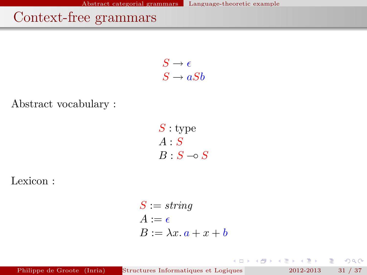# Context-free grammars

 $S \to \epsilon$  $S \to aSb$ 

Abstract vocabulary :

 $S:$  type  $A : S$  $B : S \multimap S$ 

Lexicon :

$$
S := string
$$
  
\n
$$
A := \epsilon
$$
  
\n
$$
B := \lambda x. a + x + b
$$

Philippe de Groote (Inria) Structures Informatiques et Logiques pour la Modielisation 2012-2013 31 / 37

重

 $2Q$ 

 $\mathcal{A} \xrightarrow{\sim} \mathcal{B} \rightarrow \mathcal{A} \xrightarrow{\sim} \mathcal{B} \rightarrow$ 

(ロ) ( d )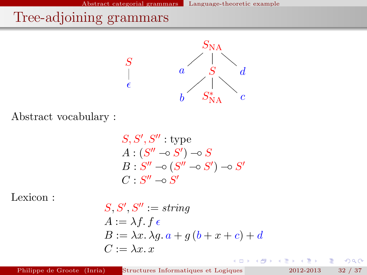# Tree-adjoining grammars



Abstract vocabulary :

$$
S, S', S'' : \text{type}
$$
  

$$
A : (S'' \neg S') \neg S
$$
  

$$
B : S'' \neg S (S'' \neg S') \neg S'
$$
  

$$
C : S'' \neg S'
$$

Lexicon :

$$
S, S', S'':= string
$$
  
\n
$$
A := \lambda f. f \in
$$
  
\n
$$
B := \lambda x. \lambda g. a + g (b + x + c) + d
$$
  
\n
$$
C := \lambda x. x
$$

4.000 - 4 €

Philippe de Groote (Inria) Structures Informatiques et Logiques pour la Modielisation 2012-2013 32 / 37

重

 $2Q$ 

÷,

∢ 重  $\mathbf{p}$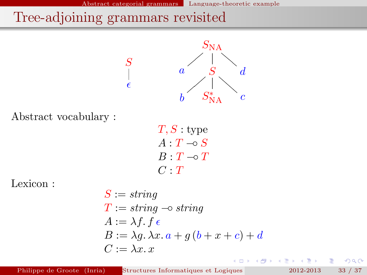# Tree-adjoining grammars revisited



Abstract vocabulary :

 $T, S:$  type  $A: T \multimap S$  $B: T \multimap T$  $C \cdot T$ 

Lexicon :

$$
S := string
$$
  
\n
$$
T := string \rightarrow string
$$
  
\n
$$
A := \lambda f. f \in
$$
  
\n
$$
B := \lambda g. \lambda x. a + g (b + x + c) + d
$$
  
\n
$$
C := \lambda x. x
$$

 $\overline{a}$ 

重

E

4 重

 $290$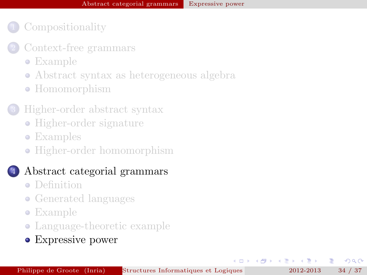- [Context-free grammars](#page-4-0)
	- [Example](#page-4-0)
	- [Abstract syntax as heterogeneous algebra](#page-6-0)
	- [Homomorphism](#page-8-0)

#### 3 [Higher-order abstract syntax](#page-11-0)

- [Higher-order signature](#page-11-0)
- [Examples](#page-13-0)
- [Higher-order homomorphism](#page-18-0)

#### 4 [Abstract categorial grammars](#page-20-0)

- **•** [Definition](#page-20-0)
- [Generated languages](#page-23-0)
- [Example](#page-25-0)
- [Language-theoretic example](#page-29-0)
- [Expressive power](#page-33-0)

 $\leftarrow$   $\Box$ 

舌

<span id="page-33-0"></span> $\Omega$ 

 $\rightarrow$   $\equiv$   $\rightarrow$ 

4 原 8 1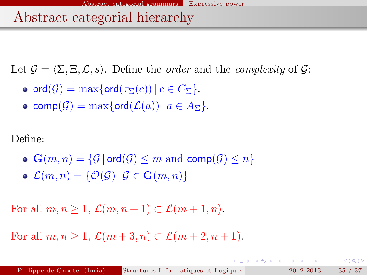## Abstract categorial hierarchy

Let  $\mathcal{G} = \langle \Sigma, \Xi, \mathcal{L}, s \rangle$ . Define the *order* and the *complexity* of  $\mathcal{G}$ :

- o ord $(\mathcal{G}) = \max\{\text{ord}(\tau_{\Sigma}(c)) \mid c \in C_{\Sigma}\}.$
- comp $(\mathcal{G}) = \max\{\text{ord}(\mathcal{L}(a)) \mid a \in A_{\Sigma}\}.$

Define:

 $\bullet$   $\mathbf{G}(m, n) = \{ \mathcal{G} \mid \text{ord}(\mathcal{G}) \leq m \text{ and } \text{comp}(\mathcal{G}) \leq n \}$  $\mathcal{L}(m, n) = \{ \mathcal{O}(\mathcal{G}) \, | \, \mathcal{G} \in \mathbf{G}(m, n) \}$ 

For all  $m, n \geq 1$ ,  $\mathcal{L}(m, n+1) \subset \mathcal{L}(m+1, n)$ .

For all  $m, n > 1$ ,  $\mathcal{L}(m+3, n) \subset \mathcal{L}(m+2, n+1)$ .

**STATE** 

 $QQ$ 

 $(0,1)$   $(0,1)$   $(0,1)$   $(1,1)$   $(1,1)$   $(1,1)$   $(1,1)$   $(1,1)$   $(1,1)$   $(1,1)$   $(1,1)$   $(1,1)$   $(1,1)$   $(1,1)$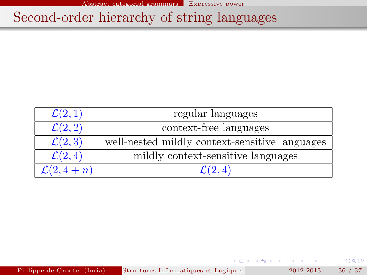Abstract categorial grammars Expressive power

# Second-order hierarchy of string languages

| $\mathcal{L}(2,1)$            | regular languages                              |  |
|-------------------------------|------------------------------------------------|--|
| $\overline{\mathcal{L}(2,2)}$ | context-free languages                         |  |
| $\mathcal{L}(2,3)$            | well-nested mildly context-sensitive languages |  |
| $\mathcal{L}(2,4)$            | mildly context-sensitive languages             |  |
| $\mathcal{L}(2, 4+n)$         | $\mathcal{L}(2,4)$                             |  |

Philippe de Groote (Inria) Structures Informatiques et Logiques pour la Modielisation 2012-2013 36 / 37

 $\leftarrow$   $\equiv$   $\rightarrow$ 

 $\leftarrow$   $\Box$  $\leftarrow$   $2Q$ 

重